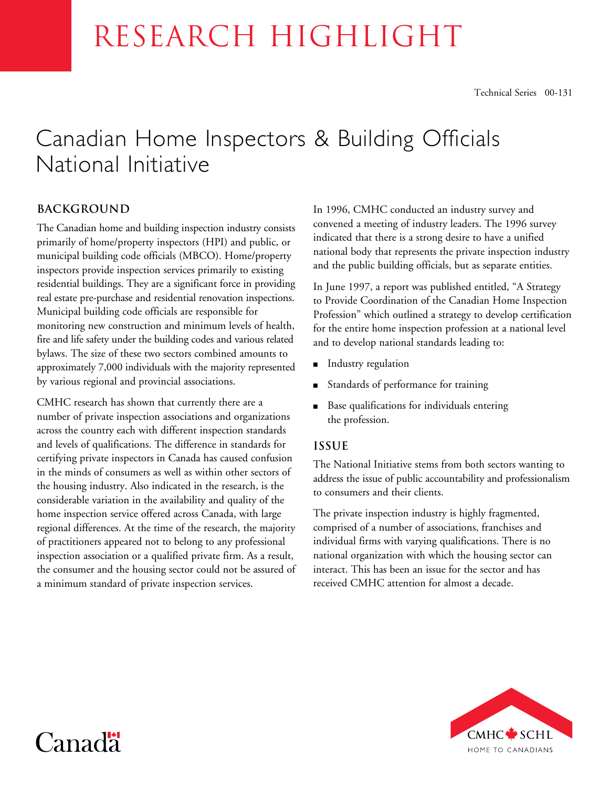# RESEARCH HIGHLIGHT

### Canadian Home Inspectors & Building Officials National Initiative

#### **Background**

The Canadian home and building inspection industry consists primarily of home/property inspectors (HPI) and public, or municipal building code officials (MBCO). Home/property inspectors provide inspection services primarily to existing residential buildings. They are a significant force in providing real estate pre-purchase and residential renovation inspections. Municipal building code officials are responsible for monitoring new construction and minimum levels of health, fire and life safety under the building codes and various related bylaws. The size of these two sectors combined amounts to approximately 7,000 individuals with the majority represented by various regional and provincial associations.

CMHC research has shown that currently there are a number of private inspection associations and organizations across the country each with different inspection standards and levels of qualifications. The difference in standards for certifying private inspectors in Canada has caused confusion in the minds of consumers as well as within other sectors of the housing industry. Also indicated in the research, is the considerable variation in the availability and quality of the home inspection service offered across Canada, with large regional differences. At the time of the research, the majority of practitioners appeared not to belong to any professional inspection association or a qualified private firm. As a result, the consumer and the housing sector could not be assured of a minimum standard of private inspection services.

In 1996, CMHC conducted an industry survey and convened a meeting of industry leaders. The 1996 survey indicated that there is a strong desire to have a unified national body that represents the private inspection industry and the public building officials, but as separate entities.

In June 1997, a report was published entitled, "A Strategy to Provide Coordination of the Canadian Home Inspection Profession" which outlined a strategy to develop certification for the entire home inspection profession at a national level and to develop national standards leading to:

- **n** Industry regulation
- <sup>n</sup> Standards of performance for training
- Base qualifications for individuals entering the profession.

#### **Issue**

The National Initiative stems from both sectors wanting to address the issue of public accountability and professionalism to consumers and their clients.

The private inspection industry is highly fragmented, comprised of a number of associations, franchises and individual firms with varying qualifications. There is no national organization with which the housing sector can interact. This has been an issue for the sector and has received CMHC attention for almost a decade.



## Canad<sup>"</sup>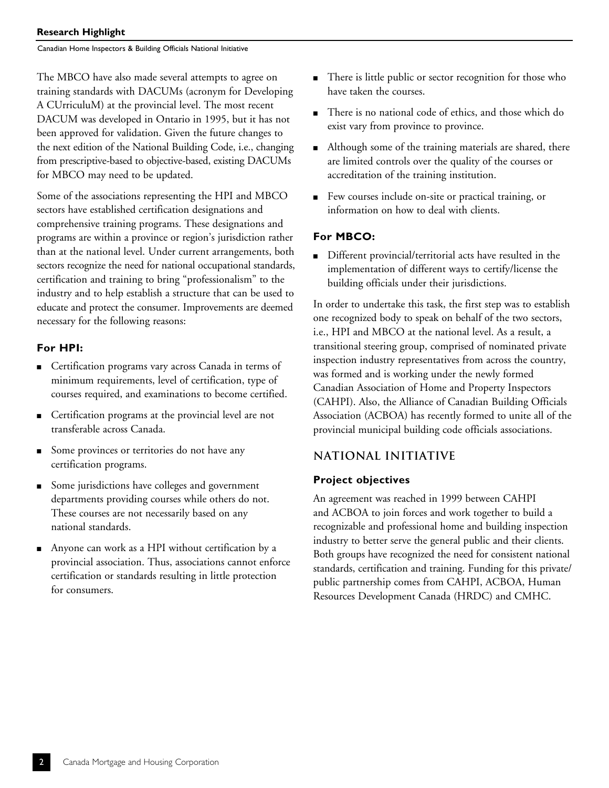Canadian Home Inspectors & Building Officials National Initiative

The MBCO have also made several attempts to agree on training standards with DACUMs (acronym for Developing A CUrriculuM) at the provincial level. The most recent DACUM was developed in Ontario in 1995, but it has not been approved for validation. Given the future changes to the next edition of the National Building Code, i.e., changing from prescriptive-based to objective-based, existing DACUMs for MBCO may need to be updated.

Some of the associations representing the HPI and MBCO sectors have established certification designations and comprehensive training programs. These designations and programs are within a province or region's jurisdiction rather than at the national level. Under current arrangements, both sectors recognize the need for national occupational standards, certification and training to bring "professionalism" to the industry and to help establish a structure that can be used to educate and protect the consumer. Improvements are deemed necessary for the following reasons:

#### **For HPI:**

- Certification programs vary across Canada in terms of minimum requirements, level of certification, type of courses required, and examinations to become certified.
- Certification programs at the provincial level are not transferable across Canada.
- Some provinces or territories do not have any certification programs.
- Some jurisdictions have colleges and government departments providing courses while others do not. These courses are not necessarily based on any national standards.
- <sup>n</sup> Anyone can work as a HPI without certification by a provincial association. Thus, associations cannot enforce certification or standards resulting in little protection for consumers.
- There is little public or sector recognition for those who have taken the courses.
- <sup>n</sup> There is no national code of ethics, and those which do exist vary from province to province.
- Although some of the training materials are shared, there are limited controls over the quality of the courses or accreditation of the training institution.
- <sup>n</sup> Few courses include on-site or practical training, or information on how to deal with clients.

#### **For MBCO:**

■ Different provincial/territorial acts have resulted in the implementation of different ways to certify/license the building officials under their jurisdictions.

In order to undertake this task, the first step was to establish one recognized body to speak on behalf of the two sectors, i.e., HPI and MBCO at the national level. As a result, a transitional steering group, comprised of nominated private inspection industry representatives from across the country, was formed and is working under the newly formed Canadian Association of Home and Property Inspectors (CAHPI). Also, the Alliance of Canadian Building Officials Association (ACBOA) has recently formed to unite all of the provincial municipal building code officials associations.

#### **National Initiative**

#### **Project objectives**

An agreement was reached in 1999 between CAHPI and ACBOA to join forces and work together to build a recognizable and professional home and building inspection industry to better serve the general public and their clients. Both groups have recognized the need for consistent national standards, certification and training. Funding for this private/ public partnership comes from CAHPI, ACBOA, Human Resources Development Canada (HRDC) and CMHC.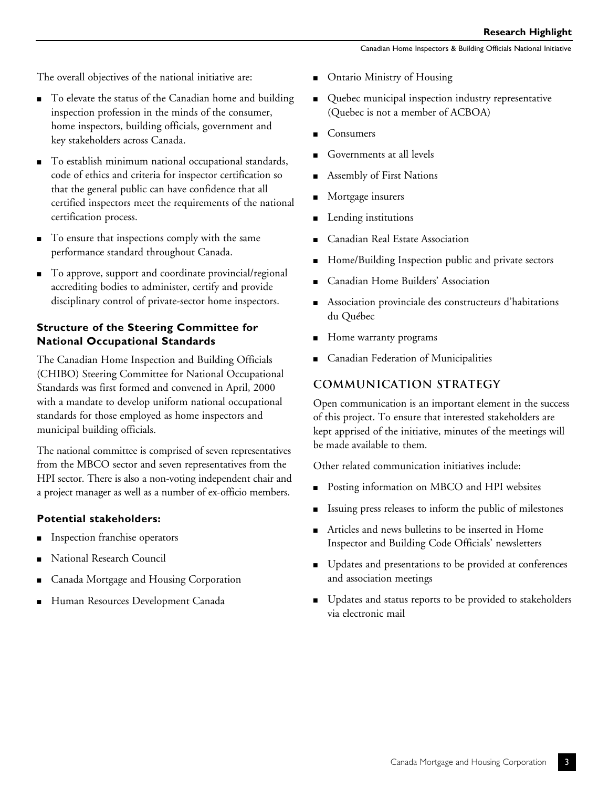The overall objectives of the national initiative are:

- To elevate the status of the Canadian home and building inspection profession in the minds of the consumer, home inspectors, building officials, government and key stakeholders across Canada.
- To establish minimum national occupational standards, code of ethics and criteria for inspector certification so that the general public can have confidence that all certified inspectors meet the requirements of the national certification process.
- To ensure that inspections comply with the same performance standard throughout Canada.
- To approve, support and coordinate provincial/regional accrediting bodies to administer, certify and provide disciplinary control of private-sector home inspectors.

#### **Structure of the Steering Committee for National Occupational Standards**

The Canadian Home Inspection and Building Officials (CHIBO) Steering Committee for National Occupational Standards was first formed and convened in April, 2000 with a mandate to develop uniform national occupational standards for those employed as home inspectors and municipal building officials.

The national committee is comprised of seven representatives from the MBCO sector and seven representatives from the HPI sector. There is also a non-voting independent chair and a project manager as well as a number of ex-officio members.

#### **Potential stakeholders:**

- <sup>n</sup> Inspection franchise operators
- National Research Council
- Canada Mortgage and Housing Corporation
- <sup>n</sup> Human Resources Development Canada
- Ontario Ministry of Housing
- Quebec municipal inspection industry representative (Quebec is not a member of ACBOA)
- Consumers
- Governments at all levels
- Assembly of First Nations
- Mortgage insurers
- Lending institutions
- Canadian Real Estate Association
- Home/Building Inspection public and private sectors
- Canadian Home Builders' Association
- <sup>n</sup> Association provinciale des constructeurs d'habitations du Québec
- Home warranty programs
- Canadian Federation of Municipalities

#### **Communication Strategy**

Open communication is an important element in the success of this project. To ensure that interested stakeholders are kept apprised of the initiative, minutes of the meetings will be made available to them.

Other related communication initiatives include:

- Posting information on MBCO and HPI websites
- Issuing press releases to inform the public of milestones
- n Articles and news bulletins to be inserted in Home Inspector and Building Code Officials' newsletters
- <sup>n</sup> Updates and presentations to be provided at conferences and association meetings
- <sup>n</sup> Updates and status reports to be provided to stakeholders via electronic mail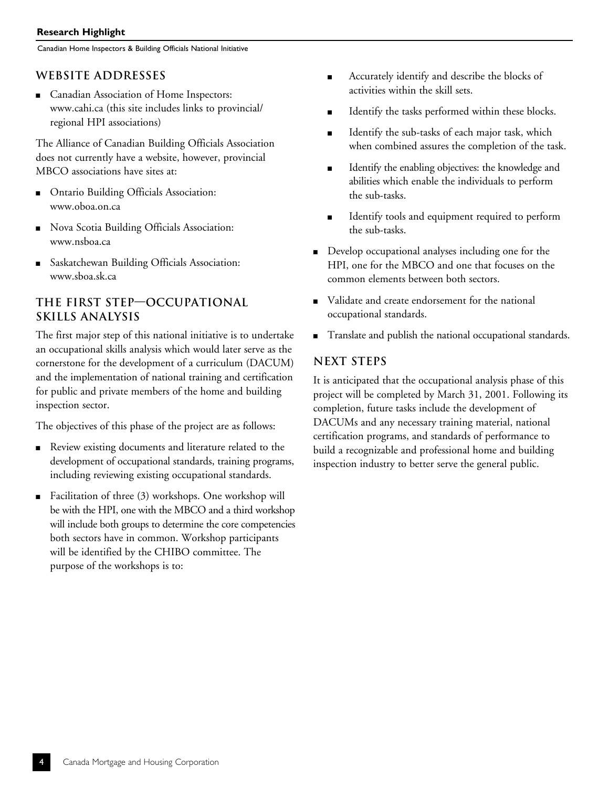Canadian Home Inspectors & Building Officials National Initiative

#### **WebSite Addresses**

Canadian Association of Home Inspectors: www.cahi.ca (this site includes links to provincial/ regional HPI associations)

The Alliance of Canadian Building Officials Association does not currently have a website, however, provincial MBCO associations have sites at:

- <sup>n</sup> Ontario Building Officials Association: www.oboa.on.ca
- <sup>n</sup> Nova Scotia Building Officials Association: www.nsboa.ca
- Saskatchewan Building Officials Association: www.sboa.sk.ca

#### **The First Step—Occupational Skills Analysis**

The first major step of this national initiative is to undertake an occupational skills analysis which would later serve as the cornerstone for the development of a curriculum (DACUM) and the implementation of national training and certification for public and private members of the home and building inspection sector.

The objectives of this phase of the project are as follows:

- <sup>n</sup> Review existing documents and literature related to the development of occupational standards, training programs, including reviewing existing occupational standards.
- Facilitation of three (3) workshops. One workshop will be with the HPI, one with the MBCO and a third workshop will include both groups to determine the core competencies both sectors have in common. Workshop participants will be identified by the CHIBO committee. The purpose of the workshops is to:
- <sup>n</sup> Accurately identify and describe the blocks of activities within the skill sets.
- Identify the tasks performed within these blocks.
- Identify the sub-tasks of each major task, which when combined assures the completion of the task.
- Identify the enabling objectives: the knowledge and abilities which enable the individuals to perform the sub-tasks.
- Identify tools and equipment required to perform the sub-tasks.
- Develop occupational analyses including one for the HPI, one for the MBCO and one that focuses on the common elements between both sectors.
- validate and create endorsement for the national occupational standards.
- <sup>n</sup> Translate and publish the national occupational standards.

#### **Next Steps**

It is anticipated that the occupational analysis phase of this project will be completed by March 31, 2001. Following its completion, future tasks include the development of DACUMs and any necessary training material, national certification programs, and standards of performance to build a recognizable and professional home and building inspection industry to better serve the general public.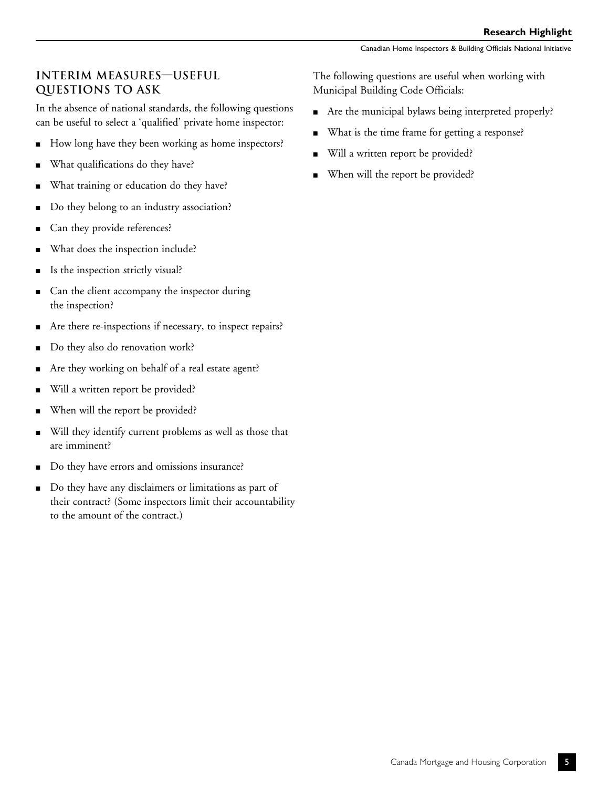#### **Interim Measures—Useful Questions to Ask**

In the absence of national standards, the following questions can be useful to select a 'qualified' private home inspector:

- How long have they been working as home inspectors?
- What qualifications do they have?
- What training or education do they have?
- Do they belong to an industry association?
- Can they provide references?
- What does the inspection include?
- Is the inspection strictly visual?
- Can the client accompany the inspector during the inspection?
- Are there re-inspections if necessary, to inspect repairs?
- Do they also do renovation work?
- n Are they working on behalf of a real estate agent?
- Will a written report be provided?
- When will the report be provided?
- Will they identify current problems as well as those that are imminent?
- Do they have errors and omissions insurance?
- Do they have any disclaimers or limitations as part of their contract? (Some inspectors limit their accountability to the amount of the contract.)

The following questions are useful when working with Municipal Building Code Officials:

- Are the municipal bylaws being interpreted properly?
- What is the time frame for getting a response?
- Will a written report be provided?
- When will the report be provided?